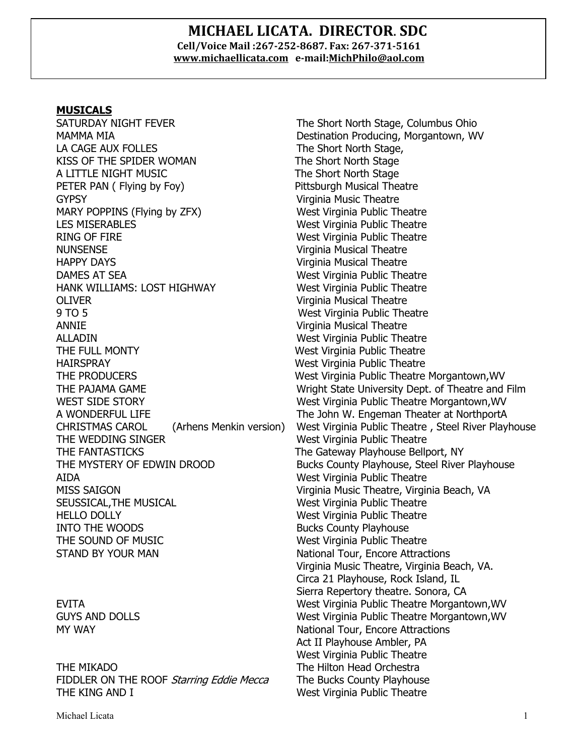#### **MICHAEL LICATA. DIRECTOR**. **SDC Cell/Voice Mail :267-252-8687. Fax: 267-371-5161 www.michaellicata.com e-mail:MichPhilo@aol.com**

#### **MUSICALS**

SATURDAY NIGHT FEVER The Short North Stage, Columbus Ohio MAMMA MIA DEStination Producing, Morgantown, WV LA CAGE AUX FOLLES The Short North Stage, KISS OF THE SPIDER WOMAN The Short North Stage A LITTLE NIGHT MUSIC **The Short North Stage** PETER PAN ( Flying by Foy) The Pittsburgh Musical Theatre GYPSY GYPSY **Virginia Music Theatre** MARY POPPINS (Flying by ZFX) West Virginia Public Theatre LES MISERABLES West Virginia Public Theatre RING OF FIRE West Virginia Public Theatre NUNSENSE Virginia Musical Theatre HAPPY DAYS Virginia Musical Theatre DAMES AT SEA NET RESERVITE SEA West Virginia Public Theatre HANK WILLIAMS: LOST HIGHWAY West Virginia Public Theatre OLIVER Virginia Musical Theatre 9 TO 5 West Virginia Public Theatre ANNIE Virginia Musical Theatre ALLADIN West Virginia Public Theatre THE FULL MONTY **West Virginia Public Theatre** HAIRSPRAY West Virginia Public Theatre THE PRODUCERS West Virginia Public Theatre Morgantown,WV WEST SIDE STORY West Virginia Public Theatre Morgantown, WV A WONDERFUL LIFE The John W. Engeman Theater at NorthportA THE WEDDING SINGER WEST THE WEST Virginia Public Theatre THE FANTASTICKS The Gateway Playhouse Bellport, NY THE MYSTERY OF EDWIN DROOD Bucks County Playhouse, Steel River Playhouse AIDA West Virginia Public Theatre MISS SAIGON Virginia Music Theatre, Virginia Beach, VA SEUSSICAL,THE MUSICAL West Virginia Public Theatre HELLO DOLLY West Virginia Public Theatre INTO THE WOODS Bucks County Playhouse THE SOUND OF MUSIC West Virginia Public Theatre STAND BY YOUR MAN NATION AND NATIONAL TOUR MATERIAL MANAGEMENT AND NATIONAL TOUR MANAGEMENT OF STANDARD STANDARD STANDARD STANDARD STANDARD STANDARD STANDARD STANDARD STANDARD STANDARD STANDARD STANDARD STANDARD STANDARD S

THE MIKADO The Hilton Head Orchestra FIDDLER ON THE ROOF Starring Eddie Mecca The Bucks County Playhouse THE KING AND I West Virginia Public Theatre

THE PAJAMA GAME Wright State University Dept. of Theatre and Film CHRISTMAS CAROL (Arhens Menkin version) West Virginia Public Theatre , Steel River Playhouse Virginia Music Theatre, Virginia Beach, VA. Circa 21 Playhouse, Rock Island, IL Sierra Repertory theatre. Sonora, CA EVITA West Virginia Public Theatre Morgantown,WV GUYS AND DOLLS **West Virginia Public Theatre Morgantown, WV** MY WAY National Tour, Encore Attractions Act II Playhouse Ambler, PA West Virginia Public Theatre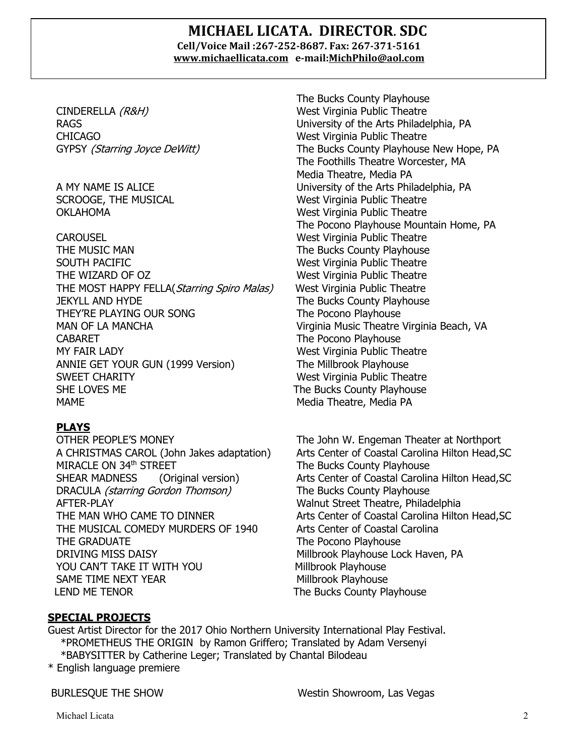#### **MICHAEL LICATA. DIRECTOR**. **SDC Cell/Voice Mail :267-252-8687. Fax: 267-371-5161 www.michaellicata.com e-mail:MichPhilo@aol.com**

CINDERELLA (R&H) West Virginia Public Theatre CHICAGO West Virginia Public Theatre

CAROUSEL West Virginia Public Theatre THE MUSIC MAN The Bucks County Playhouse SOUTH PACIFIC **West Virginia Public Theatre** THE WIZARD OF OZ West Virginia Public Theatre THE MOST HAPPY FELLA(*Starring Spiro Malas*) West Virginia Public Theatre JEKYLL AND HYDE The Bucks County Playhouse THEY'RE PLAYING OUR SONG THE Pocono Playhouse MAN OF LA MANCHA Virginia Music Theatre Virginia Beach, VA CABARET **The Pocono Playhouse** MY FAIR LADY **West Virginia Public Theatre** ANNIE GET YOUR GUN (1999 Version) The Millbrook Playhouse SWEET CHARITY **West Virginia Public Theatre** SHE LOVES ME The Bucks County Playhouse MAME MAME MEDIA RESERVE TO MEDIA THE MEDIA MEDIA PARAMETER AND MEDIA PARAMETERS AND MEDIA PARAMETERS AND MEDIA

#### **PLAYS**

OTHER PEOPLE'S MONEY The John W. Engeman Theater at Northport MIRACLE ON 34<sup>th</sup> STREET The Bucks County Playhouse DRACULA *(starring Gordon Thomson)* The Bucks County Playhouse AFTER-PLAY Walnut Street Theatre, Philadelphia THE MUSICAL COMEDY MURDERS OF 1940 Arts Center of Coastal Carolina THE GRADUATE THE GRADUATE DRIVING MISS DAISY **Millbrook Playhouse Lock Haven, PA** YOU CAN'T TAKE IT WITH YOU Millbrook Playhouse SAME TIME NEXT YEAR Millbrook Playhouse LEND ME TENOR **THE SUITE SET ASSESS** The Bucks County Playhouse

The Bucks County Playhouse RAGS University of the Arts Philadelphia, PA GYPSY (Starring Joyce DeWitt) The Bucks County Playhouse New Hope, PA The Foothills Theatre Worcester, MA Media Theatre, Media PA A MY NAME IS ALICE University of the Arts Philadelphia, PA SCROOGE, THE MUSICAL West Virginia Public Theatre OKLAHOMA West Virginia Public Theatre The Pocono Playhouse Mountain Home, PA

A CHRISTMAS CAROL (John Jakes adaptation) Arts Center of Coastal Carolina Hilton Head,SC SHEAR MADNESS (Original version) Arts Center of Coastal Carolina Hilton Head, SC THE MAN WHO CAME TO DINNER **Arts Center of Coastal Carolina Hilton Head**, SC

#### **SPECIAL PROJECTS**

 Guest Artist Director for the 2017 Ohio Northern University International Play Festival. \*PROMETHEUS THE ORIGIN by Ramon Griffero; Translated by Adam Versenyi \*BABYSITTER by Catherine Leger; Translated by Chantal Bilodeau

\* English language premiere

BURLESQUE THE SHOW Westin Showroom, Las Vegas

Michael Licata 2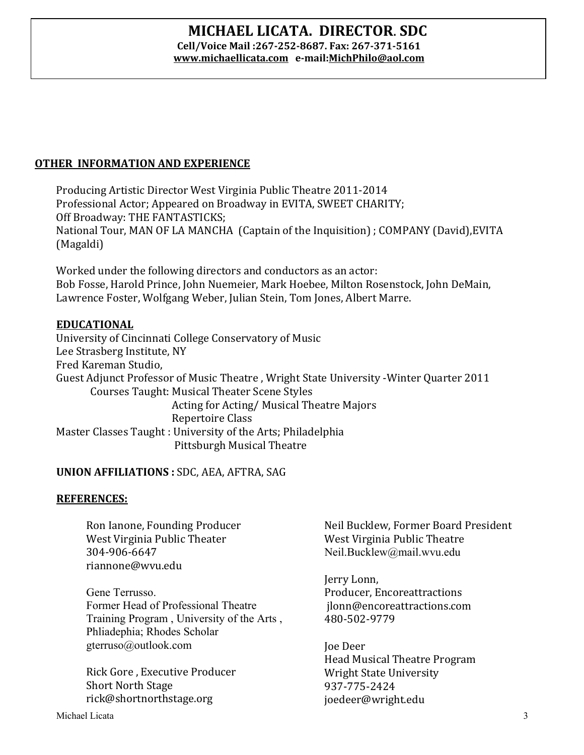## **MICHAEL LICATA. DIRECTOR**. **SDC Cell/Voice Mail :267-252-8687. Fax: 267-371-5161**

**www.michaellicata.com e-mail:MichPhilo@aol.com**

### **OTHER INFORMATION AND EXPERIENCE**

Producing Artistic Director West Virginia Public Theatre 2011-2014 Professional Actor; Appeared on Broadway in EVITA, SWEET CHARITY; Off Broadway: THE FANTASTICKS; National Tour, MAN OF LA MANCHA (Captain of the Inquisition); COMPANY (David), EVITA (Magaldi)

Worked under the following directors and conductors as an actor: Bob Fosse, Harold Prince, John Nuemeier, Mark Hoebee, Milton Rosenstock, John DeMain, Lawrence Foster, Wolfgang Weber, Julian Stein, Tom Jones, Albert Marre.

#### **EDUCATIONAL**

University of Cincinnati College Conservatory of Music Lee Strasberg Institute, NY Fred Kareman Studio. Guest Adjunct Professor of Music Theatre, Wright State University -Winter Quarter 2011 Courses Taught: Musical Theater Scene Styles Acting for Acting/ Musical Theatre Majors Repertoire Class Master Classes Taught: University of the Arts; Philadelphia Pittsburgh Musical Theatre

#### **UNION AFFILIATIONS: SDC, AEA, AFTRA, SAG**

#### **REFERENCES:**

Ron Ianone, Founding Producer West Virginia Public Theater 304-906-6647 riannone@wvu.edu

Gene Terrusso. Former Head of Professional Theatre Training Program , University of the Arts , Phliadephia; Rhodes Scholar gterruso@outlook.com

Rick Gore, Executive Producer Short North Stage rick@shortnorthstage.org

Neil Bucklew, Former Board President West Virginia Public Theatre Neil.Bucklew@mail.wvu.edu

Jerry Lonn, Producer, Encoreattractions jlonn@encoreattractions.com 480-502-9779

Joe Deer Head Musical Theatre Program Wright State University 937-775-2424 joedeer@wright.edu